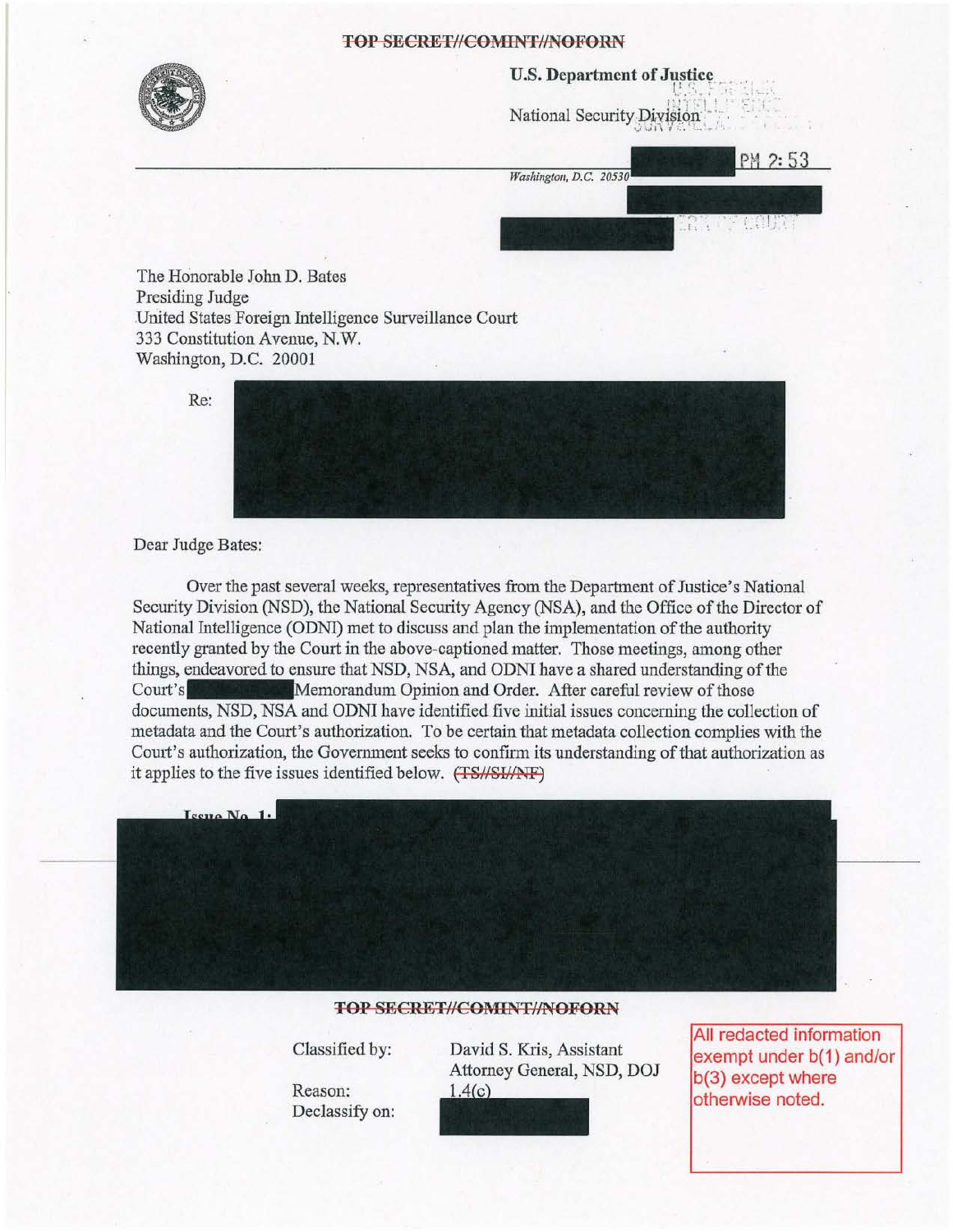

#### U.S. Department of Justice

*1'! -, r"\ ! "* ~.: ~( , National Security Division

 $W_{\text{rebinoton DC}}$  20330 PM 2:53

in ar celini

The Honorable John D. Bates Presiding Judge United States Foreign Intelligence Surveillance Court 333 Constitution Avenue, N.W. Washington, D.C. 20001

Re:



#### Dear Judge Bates:

Over the past several weeks, representatives from the Department of Justice's National Security Division (NSD), the National Security Agency (NSA), and the Office of the Director of National Intelligence (ODNl) met to discuss and plan the implementation of the authority recently granted by the Court in the above-captioned matter. Those meetings, among other things, endeavored to ensure that NSD, NSA, and ODNI have a shared understanding of the Court's Memorandum Opinion and Order. After careful review of those documents, NSD, NSA and ODNI have identified five initial issues concerning the collection of metadata and the Court's authorization. To be certain that metadata collection complies with the Court's authorization, the Govermnent seeks to confirm its understanding of that authorization as it applies to the five issues identified below. (TS//SI//NF)



#### TOP SECRET//COMINT//NOFORN

Classified by:

Reason: Declassify on:

David S. Kris, Assistant Attorney General, NSD, DOJ  $1.4(c)$ 



All redacted information exempt under b(1) and/or b(3) except where otherwise noted.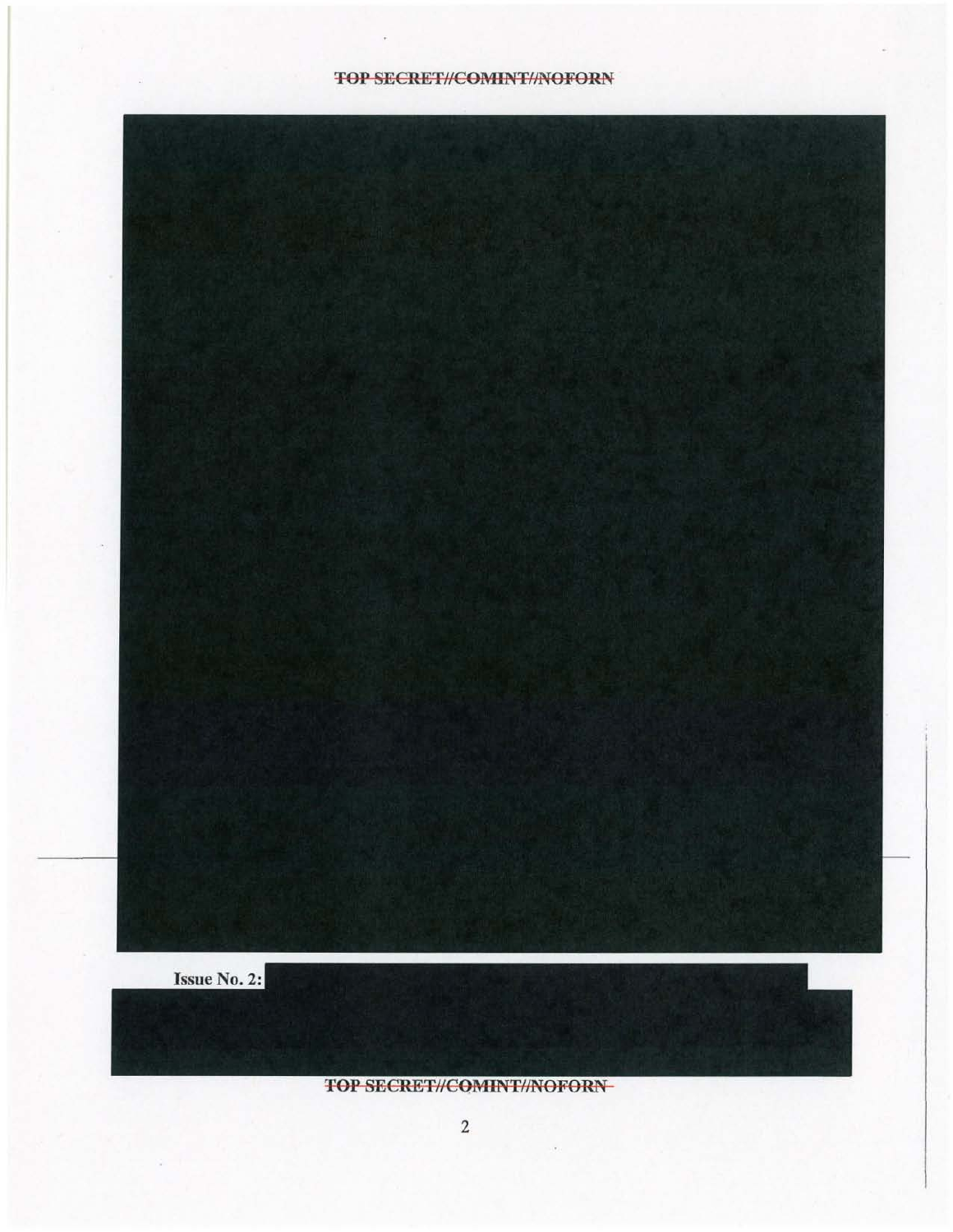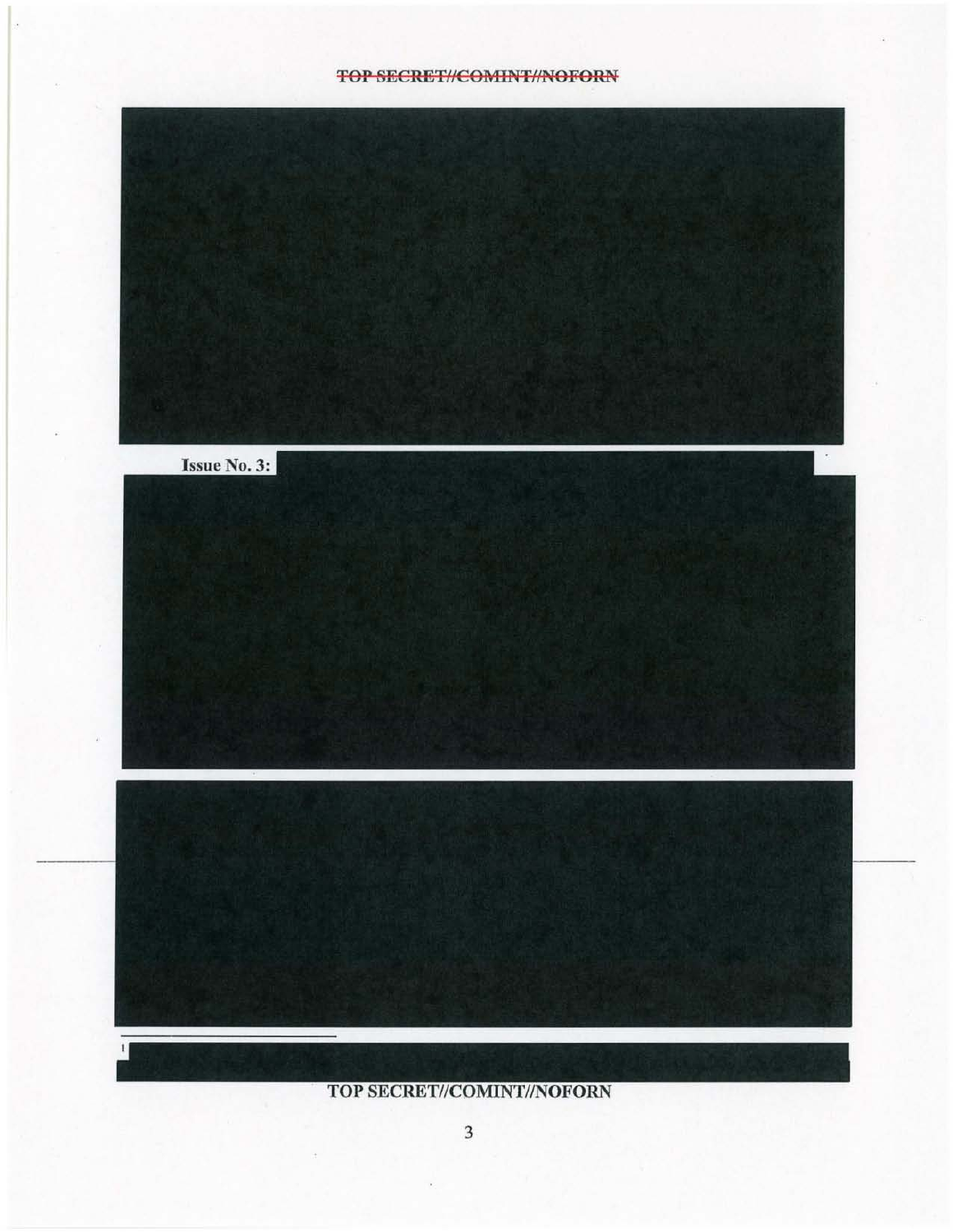### **TOP SECRET//COMINT//NOFORN**

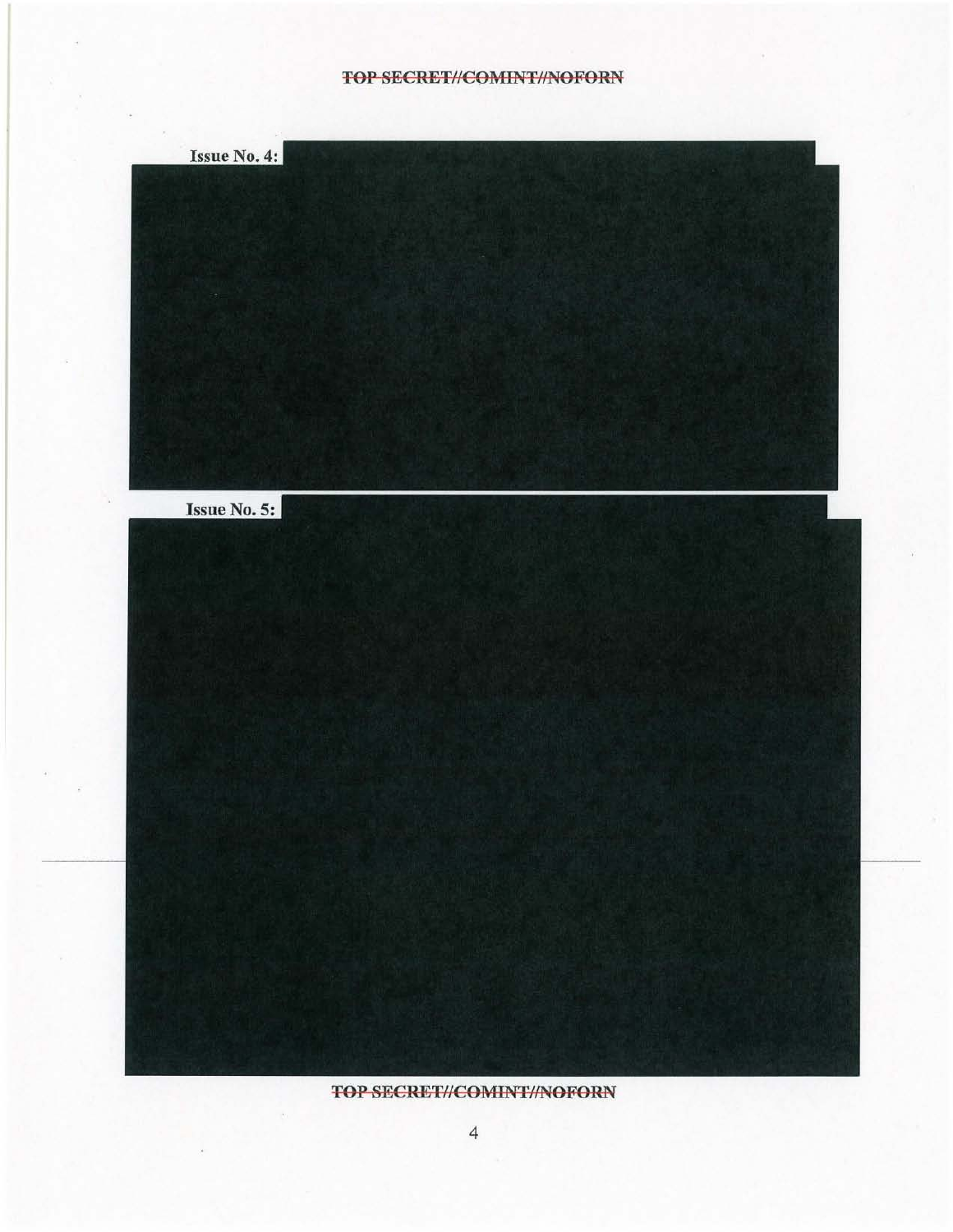## **TOP SECRET//COMINT//NOFORN**

| Issue No. 4: |  |  |
|--------------|--|--|
|              |  |  |
| Issue No. 5: |  |  |
|              |  |  |
|              |  |  |